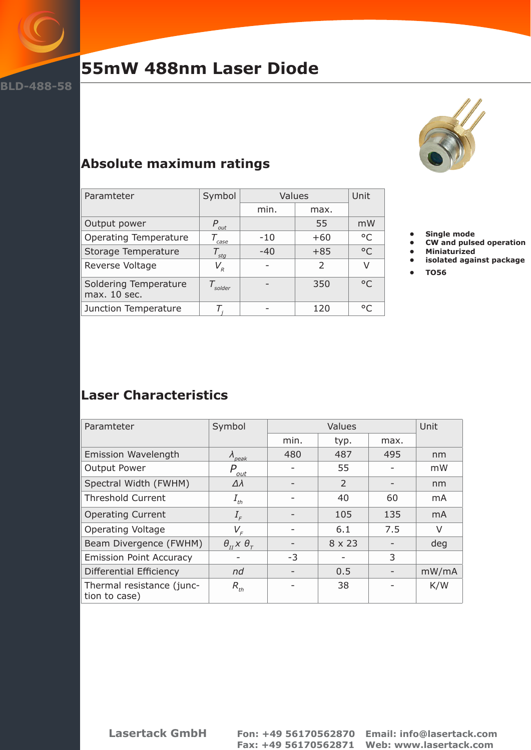

# **55mW 488nm Laser Diode**

**BLD-488-58**



### **Absolute maximum ratings**

| Paramteter                            | Symbol                                             | Values |                | Unit         |
|---------------------------------------|----------------------------------------------------|--------|----------------|--------------|
|                                       |                                                    | min.   | max.           |              |
| Output power                          | $P_{\rm out}$                                      |        | 55             | mW           |
| <b>Operating Temperature</b>          | case                                               | $-10$  | $+60$          | $^{\circ}$ C |
| Storage Temperature                   | $T_{stg}$                                          | $-40$  | $+85$          | $^{\circ}$ C |
| Reverse Voltage                       | $V_{\scriptscriptstyle R}^{}$                      |        | $\overline{2}$ | V            |
| Soldering Temperature<br>max. 10 sec. | $\mathcal{T}_{\scriptscriptstyle \mathsf{solder}}$ |        | 350            | $^{\circ}$ C |
| Junction Temperature                  |                                                    |        | 120            | °C           |

- **• Single mode**
- **• CW and pulsed operation**
- **• Miniaturized • isolated against package**
- **• TO56**

### **Laser Characteristics**

| Paramteter                                 | Symbol                                                            | Values |               |      | Unit           |
|--------------------------------------------|-------------------------------------------------------------------|--------|---------------|------|----------------|
|                                            |                                                                   | min.   | typ.          | max. |                |
| <b>Emission Wavelength</b>                 | $\lambda_{peak}$                                                  | 480    | 487           | 495  | nm             |
| Output Power                               | P<br>out                                                          |        | 55            |      | mW             |
| Spectral Width (FWHM)                      | $\Delta\lambda$                                                   |        | $\mathcal{P}$ |      | nm             |
| <b>Threshold Current</b>                   | $I_{th}$                                                          |        | 40            | 60   | m <sub>A</sub> |
| <b>Operating Current</b>                   | $I_{\scriptscriptstyle F}$                                        |        | 105           | 135  | m <sub>A</sub> |
| <b>Operating Voltage</b>                   | $V_{F}$                                                           |        | 6.1           | 7.5  | V              |
| Beam Divergence (FWHM)                     | $\theta_{\scriptscriptstyle H}$ x $\theta_{\scriptscriptstyle T}$ |        | 8 x 23        |      | deg            |
| <b>Emission Point Accuracy</b>             |                                                                   | $-3$   |               | 3    |                |
| Differential Efficiency                    | nd                                                                |        | 0.5           |      | mW/mA          |
| Thermal resistance (junc-<br>tion to case) | $R_{th}$                                                          |        | 38            |      | K/W            |

**Lasertack GmbH Fon: +49 56170562870 Email: info@lasertack.com Fax: +49 56170562871 Web: www.lasertack.com**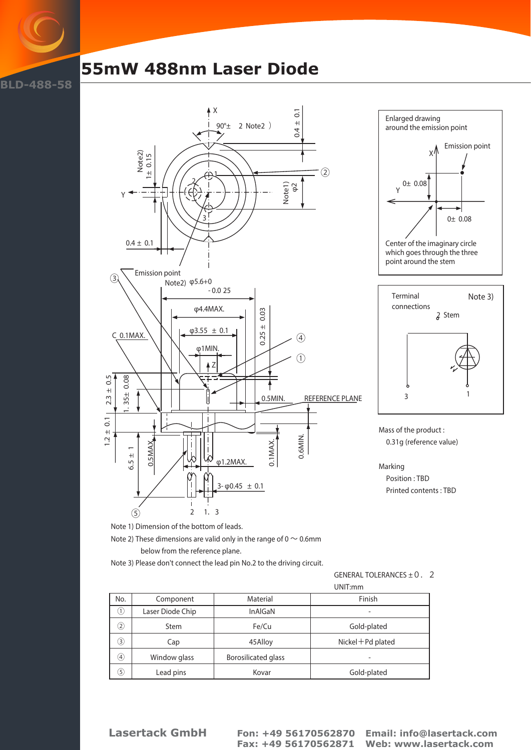## **BLD-488-58**

# **55mW 488nm Laser Diode**







Mass of the product : 0.31g (reference value)

Marking Position : TBD Printed contents : TBD

Note 1) Dimension of the bottom of leads.

Note 2) These dimensions are valid only in the range of 0  $\sim$  0.6mm

below from the reference plane.

Note 3) Please don't connect the lead pin No.2 to the driving circuit.

GENERAL TOLERANCES  $\pm$  0.2

|                   |                  | UNIT:mm                    |                          |  |
|-------------------|------------------|----------------------------|--------------------------|--|
| No.               | Component        | Material                   | Finish                   |  |
| $\left(1\right)$  | Laser Diode Chip | InAlGaN                    | $\overline{\phantom{0}}$ |  |
| 2                 | <b>Stem</b>      | Fe/Cu                      | Gold-plated              |  |
| 3                 | Cap              | 45Alloy                    | $Nickel + Pd$ plated     |  |
| $\left( 4\right)$ | Window glass     | <b>Borosilicated glass</b> | $\overline{\phantom{a}}$ |  |
| 5.                | Lead pins        | Kovar                      | Gold-plated              |  |

**Lasertack GmbH Fon: +49 56170562870 Email: info@lasertack.com**

 **Fax: +49 56170562871 Web: www.lasertack.com**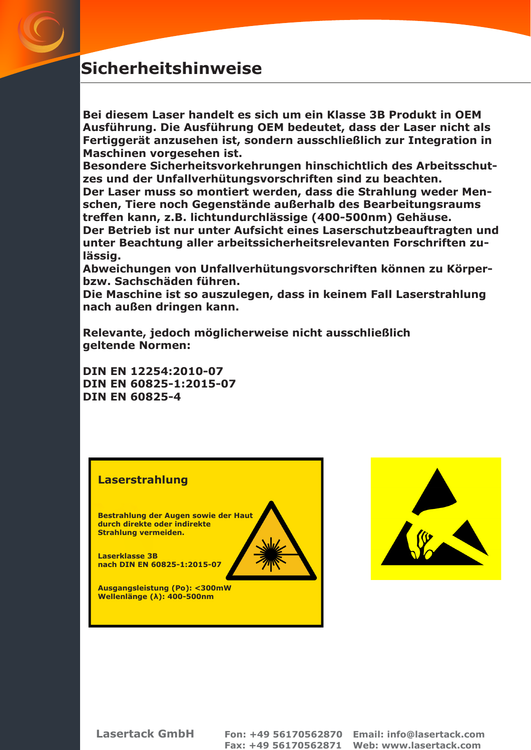# **Sicherheitshinweise**

**Bei diesem Laser handelt es sich um ein Klasse 3B Produkt in OEM Ausführung. Die Ausführung OEM bedeutet, dass der Laser nicht als Fertiggerät anzusehen ist, sondern ausschließlich zur Integration in Maschinen vorgesehen ist.**

**Besondere Sicherheitsvorkehrungen hinschichtlich des Arbeitsschutzes und der Unfallverhütungsvorschriften sind zu beachten.**

**Der Laser muss so montiert werden, dass die Strahlung weder Menschen, Tiere noch Gegenstände außerhalb des Bearbeitungsraums treffen kann, z.B. lichtundurchlässige (400-500nm) Gehäuse. Der Betrieb ist nur unter Aufsicht eines Laserschutzbeauftragten und unter Beachtung aller arbeitssicherheitsrelevanten Forschriften zulässig.**

**Abweichungen von Unfallverhütungsvorschriften können zu Körperbzw. Sachschäden führen.**

**Die Maschine ist so auszulegen, dass in keinem Fall Laserstrahlung nach außen dringen kann.**

**Relevante, jedoch möglicherweise nicht ausschließlich geltende Normen:** 

**DIN EN 12254:2010-07 DIN EN 60825-1:2015-07 DIN EN 60825-4**

#### **Laserstrahlung**

**Bestrahlung der Augen sowie der Haut durch direkte oder indirekte Strahlung vermeiden.**

**Laserklasse 3B nach DIN EN 60825-1:2015-07**

**Ausgangsleistung (Po): <300mW Wellenlänge (λ): 400-500nm**



**Lasertack GmbH Fon: +49 56170562870 Email: info@lasertack.com Fax: +49 56170562871 Web: www.lasertack.com**